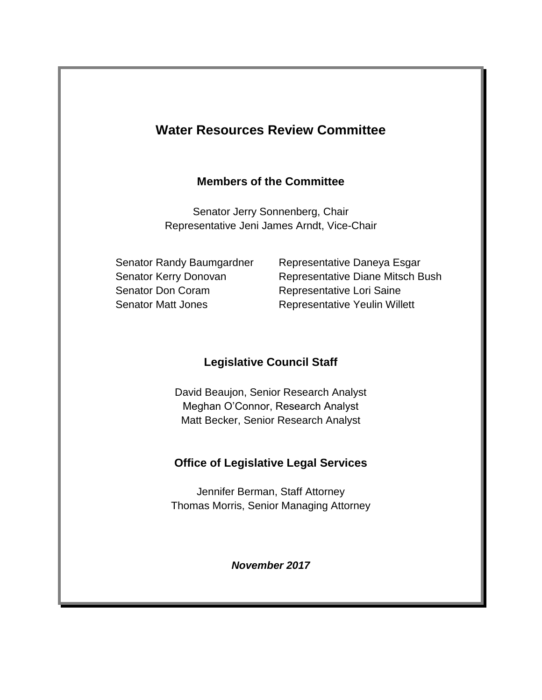# **Water Resources Review Committee**

#### **Members of the Committee**

Senator Jerry Sonnenberg, Chair Representative Jeni James Arndt, Vice-Chair

Senator Don Coram Representative Lori Saine

Senator Randy Baumgardner Representative Daneya Esgar Senator Kerry Donovan Representative Diane Mitsch Bush Senator Matt Jones **Representative Yeulin Willett** 

## **Legislative Council Staff**

David Beaujon, Senior Research Analyst Meghan O'Connor, Research Analyst Matt Becker, Senior Research Analyst

## **Office of Legislative Legal Services**

Jennifer Berman, Staff Attorney Thomas Morris, Senior Managing Attorney

*November 2017*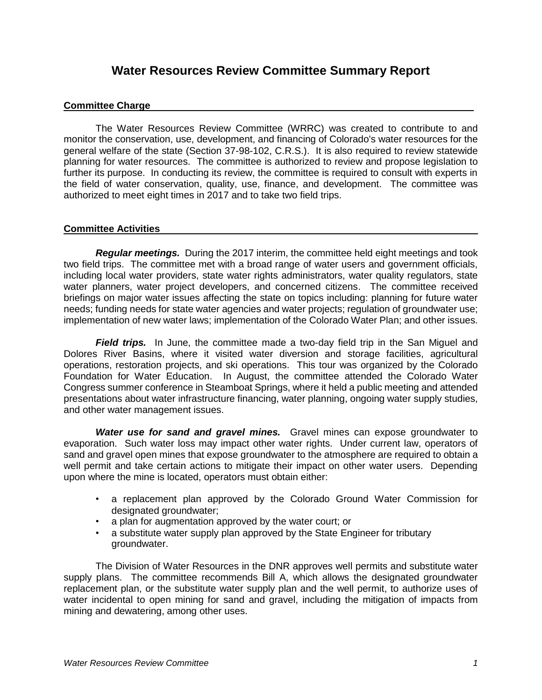### **Water Resources Review Committee Summary Report**

#### **Committee Charge**

The Water Resources Review Committee (WRRC) was created to contribute to and monitor the conservation, use, development, and financing of Colorado's water resources for the general welfare of the state (Section 37-98-102, C.R.S.). It is also required to review statewide planning for water resources. The committee is authorized to review and propose legislation to further its purpose. In conducting its review, the committee is required to consult with experts in the field of water conservation, quality, use, finance, and development. The committee was authorized to meet eight times in 2017 and to take two field trips.

#### **Committee Activities**

*Regular meetings.* During the 2017 interim, the committee held eight meetings and took two field trips. The committee met with a broad range of water users and government officials, including local water providers, state water rights administrators, water quality regulators, state water planners, water project developers, and concerned citizens. The committee received briefings on major water issues affecting the state on topics including: planning for future water needs; funding needs for state water agencies and water projects; regulation of groundwater use; implementation of new water laws; implementation of the Colorado Water Plan; and other issues.

**Field trips.** In June, the committee made a two-day field trip in the San Miguel and Dolores River Basins, where it visited water diversion and storage facilities, agricultural operations, restoration projects, and ski operations. This tour was organized by the Colorado Foundation for Water Education. In August, the committee attended the Colorado Water Congress summer conference in Steamboat Springs, where it held a public meeting and attended presentations about water infrastructure financing, water planning, ongoing water supply studies, and other water management issues.

*Water use for sand and gravel mines.* Gravel mines can expose groundwater to evaporation. Such water loss may impact other water rights. Under current law, operators of sand and gravel open mines that expose groundwater to the atmosphere are required to obtain a well permit and take certain actions to mitigate their impact on other water users. Depending upon where the mine is located, operators must obtain either:

- a replacement plan approved by the Colorado Ground Water Commission for designated groundwater;
- a plan for augmentation approved by the water court; or
- a substitute water supply plan approved by the State Engineer for tributary groundwater.

The Division of Water Resources in the DNR approves well permits and substitute water supply plans. The committee recommends Bill A, which allows the designated groundwater replacement plan, or the substitute water supply plan and the well permit, to authorize uses of water incidental to open mining for sand and gravel, including the mitigation of impacts from mining and dewatering, among other uses.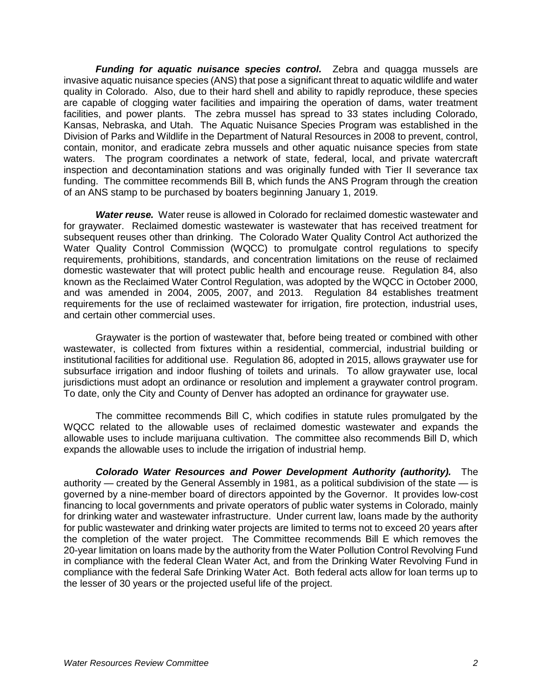*Funding for aquatic nuisance species control.* Zebra and quagga mussels are invasive aquatic nuisance species (ANS) that pose a significant threat to aquatic wildlife and water quality in Colorado. Also, due to their hard shell and ability to rapidly reproduce, these species are capable of clogging water facilities and impairing the operation of dams, water treatment facilities, and power plants. The zebra mussel has spread to 33 states including Colorado, Kansas, Nebraska, and Utah. The Aquatic Nuisance Species Program was established in the Division of Parks and Wildlife in the Department of Natural Resources in 2008 to prevent, control, contain, monitor, and eradicate zebra mussels and other aquatic nuisance species from state waters. The program coordinates a network of state, federal, local, and private watercraft inspection and decontamination stations and was originally funded with Tier II severance tax funding. The committee recommends Bill B, which funds the ANS Program through the creation of an ANS stamp to be purchased by boaters beginning January 1, 2019.

*Water reuse.* Water reuse is allowed in Colorado for reclaimed domestic wastewater and for graywater. Reclaimed domestic wastewater is wastewater that has received treatment for subsequent reuses other than drinking. The Colorado Water Quality Control Act authorized the Water Quality Control Commission (WQCC) to promulgate control regulations to specify requirements, prohibitions, standards, and concentration limitations on the reuse of reclaimed domestic wastewater that will protect public health and encourage reuse. Regulation 84, also known as the Reclaimed Water Control Regulation, was adopted by the WQCC in October 2000, and was amended in 2004, 2005, 2007, and 2013. Regulation 84 establishes treatment requirements for the use of reclaimed wastewater for irrigation, fire protection, industrial uses, and certain other commercial uses.

Graywater is the portion of wastewater that, before being treated or combined with other wastewater, is collected from fixtures within a residential, commercial, industrial building or institutional facilities for additional use. Regulation 86, adopted in 2015, allows graywater use for subsurface irrigation and indoor flushing of toilets and urinals. To allow graywater use, local jurisdictions must adopt an ordinance or resolution and implement a graywater control program. To date, only the City and County of Denver has adopted an ordinance for graywater use.

The committee recommends Bill C, which codifies in statute rules promulgated by the WQCC related to the allowable uses of reclaimed domestic wastewater and expands the allowable uses to include marijuana cultivation. The committee also recommends Bill D, which expands the allowable uses to include the irrigation of industrial hemp.

*Colorado Water Resources and Power Development Authority (authority).* The authority — created by the General Assembly in 1981, as a political subdivision of the state — is governed by a nine-member board of directors appointed by the Governor. It provides low-cost financing to local governments and private operators of public water systems in Colorado, mainly for drinking water and wastewater infrastructure. Under current law, loans made by the authority for public wastewater and drinking water projects are limited to terms not to exceed 20 years after the completion of the water project. The Committee recommends Bill E which removes the 20-year limitation on loans made by the authority from the Water Pollution Control Revolving Fund in compliance with the federal Clean Water Act, and from the Drinking Water Revolving Fund in compliance with the federal Safe Drinking Water Act. Both federal acts allow for loan terms up to the lesser of 30 years or the projected useful life of the project.